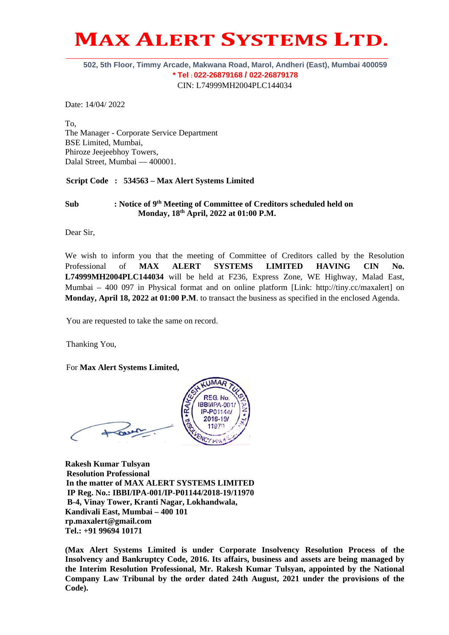# **MAX ALERT SYSTEMS LTD. \_\_\_\_\_\_\_\_\_\_\_\_\_\_\_\_\_\_\_\_\_\_\_\_\_\_\_\_\_\_\_\_\_\_\_\_\_\_\_\_\_\_\_\_\_\_\_\_\_\_\_\_\_\_\_\_\_\_\_\_\_\_\_\_\_\_\_\_\_\_\_\_\_\_\_\_\_\_\_\_\_\_\_\_\_\_\_\_\_\_\_\_\_\_\_\_**

#### **502, 5th Floor, Timmy Arcade, Makwana Road, Marol, Andheri (East), Mumbai 400059 \* Tel : 022-26879168 / 022-26879178**  CIN: L74999MH2004PLC144034

Date: 14/04/ 2022

To, The Manager - Corporate Service Department BSE Limited, Mumbai, Phiroze Jeejeebhoy Towers, Dalal Street, Mumbai — 400001.

**Script Code : 534563 – Max Alert Systems Limited** 

#### Sub : Notice of 9<sup>th</sup> Meeting of Committee of Creditors scheduled held on  **Monday, 18th April, 2022 at 01:00 P.M.**

Dear Sir,

We wish to inform you that the meeting of Committee of Creditors called by the Resolution Professional of **MAX ALERT SYSTEMS LIMITED HAVING CIN No. L74999MH2004PLC144034** will be held at F236, Express Zone, WE Highway, Malad East, Mumbai – 400 097 in Physical format and on online platform [Link: http://tiny.cc/maxalert] on **Monday, April 18, 2022 at 01:00 P.M**. to transact the business as specified in the enclosed Agenda.

You are requested to take the same on record.

Thanking You,

For **Max Alert Systems Limited,**

**UMAR REG. No.** IBBI/IPA-001 IP-P01144 2018-19/

**Rakesh Kumar Tulsyan Resolution Professional In the matter of MAX ALERT SYSTEMS LIMITED IP Reg. No.: IBBI/IPA-001/IP-P01144/2018-19/11970 B-4, Vinay Tower, Kranti Nagar, Lokhandwala, Kandivali East, Mumbai – 400 101 rp.maxalert@gmail.com Tel.: +91 99694 10171** 

**(Max Alert Systems Limited is under Corporate Insolvency Resolution Process of the Insolvency and Bankruptcy Code, 2016. Its affairs, business and assets are being managed by the Interim Resolution Professional, Mr. Rakesh Kumar Tulsyan, appointed by the National Company Law Tribunal by the order dated 24th August, 2021 under the provisions of the Code).**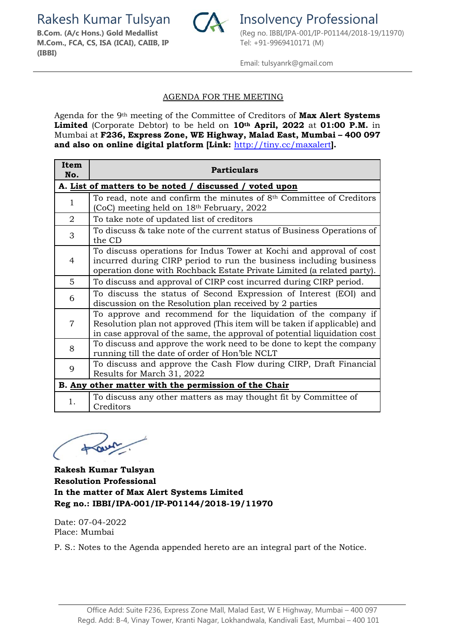Rakesh Kumar Tulsyan **Insolvency Professional** 



**M.Com., FCA, CS, ISA (ICAI), CAIIB, IP (IBBI)**

Email: tulsyanrk@gmail.com

## AGENDA FOR THE MEETING

Agenda for the 9th meeting of the Committee of Creditors of **Max Alert Systems Limited** (Corporate Debtor) to be held on **10th April, 2022** at **01:00 P.M.** in Mumbai at **F236, Express Zone, WE Highway, Malad East, Mumbai – 400 097 and also on online digital platform [Link:** http://tiny.cc/maxalert**].**

| Item<br>No.                                             | <b>Particulars</b>                                                                                                                                                                                                     |  |  |  |
|---------------------------------------------------------|------------------------------------------------------------------------------------------------------------------------------------------------------------------------------------------------------------------------|--|--|--|
| A. List of matters to be noted / discussed / voted upon |                                                                                                                                                                                                                        |  |  |  |
| $\mathbf{1}$                                            | To read, note and confirm the minutes of 8 <sup>th</sup> Committee of Creditors<br>(CoC) meeting held on 18th February, 2022                                                                                           |  |  |  |
| 2                                                       | To take note of updated list of creditors                                                                                                                                                                              |  |  |  |
| 3                                                       | To discuss & take note of the current status of Business Operations of<br>the CD                                                                                                                                       |  |  |  |
| 4                                                       | To discuss operations for Indus Tower at Kochi and approval of cost<br>incurred during CIRP period to run the business including business<br>operation done with Rochback Estate Private Limited (a related party).    |  |  |  |
| 5                                                       | To discuss and approval of CIRP cost incurred during CIRP period.                                                                                                                                                      |  |  |  |
| 6                                                       | To discuss the status of Second Expression of Interest (EOI) and<br>discussion on the Resolution plan received by 2 parties                                                                                            |  |  |  |
| 7                                                       | To approve and recommend for the liquidation of the company if<br>Resolution plan not approved (This item will be taken if applicable) and<br>in case approval of the same, the approval of potential liquidation cost |  |  |  |
| 8                                                       | To discuss and approve the work need to be done to kept the company<br>running till the date of order of Hon'ble NCLT                                                                                                  |  |  |  |
| 9                                                       | To discuss and approve the Cash Flow during CIRP, Draft Financial<br>Results for March 31, 2022                                                                                                                        |  |  |  |
| B. Any other matter with the permission of the Chair    |                                                                                                                                                                                                                        |  |  |  |
| 1.                                                      | To discuss any other matters as may thought fit by Committee of<br>Creditors                                                                                                                                           |  |  |  |

 $+\omega$ 

**Rakesh Kumar Tulsyan Resolution Professional In the matter of Max Alert Systems Limited Reg no.: IBBI/IPA-001/IP-P01144/2018-19/11970** 

Date: 07-04-2022 Place: Mumbai

P. S.: Notes to the Agenda appended hereto are an integral part of the Notice.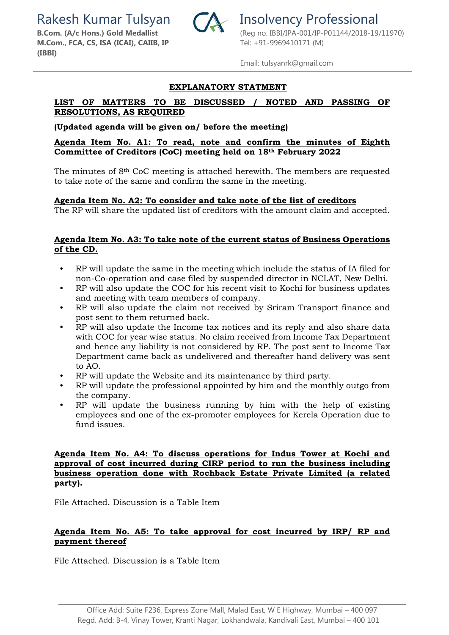Rakesh Kumar Tulsyan **Insolvency Professional** 



**M.Com., FCA, CS, ISA (ICAI), CAIIB, IP (IBBI)**

**B.Com. (A/c Hons.) Gold Medallist** (Reg no. IBBI/IPA-001/IP-P01144/2018-19/11970) Tel: +91-9969410171 (M)

Email: tulsyanrk@gmail.com

#### **EXPLANATORY STATMENT**

# **LIST OF MATTERS TO BE DISCUSSED / NOTED AND PASSING OF RESOLUTIONS, AS REQUIRED**

#### **(Updated agenda will be given on/ before the meeting)**

#### **Agenda Item No. A1: To read, note and confirm the minutes of Eighth Committee of Creditors (CoC) meeting held on 18th February 2022**

The minutes of 8th CoC meeting is attached herewith. The members are requested to take note of the same and confirm the same in the meeting.

#### **Agenda Item No. A2: To consider and take note of the list of creditors**

The RP will share the updated list of creditors with the amount claim and accepted.

#### **Agenda Item No. A3: To take note of the current status of Business Operations of the CD.**

- RP will update the same in the meeting which include the status of IA filed for non-Co-operation and case filed by suspended director in NCLAT, New Delhi.
- RP will also update the COC for his recent visit to Kochi for business updates and meeting with team members of company.
- RP will also update the claim not received by Sriram Transport finance and post sent to them returned back.
- RP will also update the Income tax notices and its reply and also share data with COC for year wise status. No claim received from Income Tax Department and hence any liability is not considered by RP. The post sent to Income Tax Department came back as undelivered and thereafter hand delivery was sent to AO.
- RP will update the Website and its maintenance by third party.
- RP will update the professional appointed by him and the monthly outgo from the company.
- RP will update the business running by him with the help of existing employees and one of the ex-promoter employees for Kerela Operation due to fund issues.

#### **Agenda Item No. A4: To discuss operations for Indus Tower at Kochi and approval of cost incurred during CIRP period to run the business including business operation done with Rochback Estate Private Limited (a related party).**

File Attached. Discussion is a Table Item

# **Agenda Item No. A5: To take approval for cost incurred by IRP/ RP and payment thereof**

File Attached. Discussion is a Table Item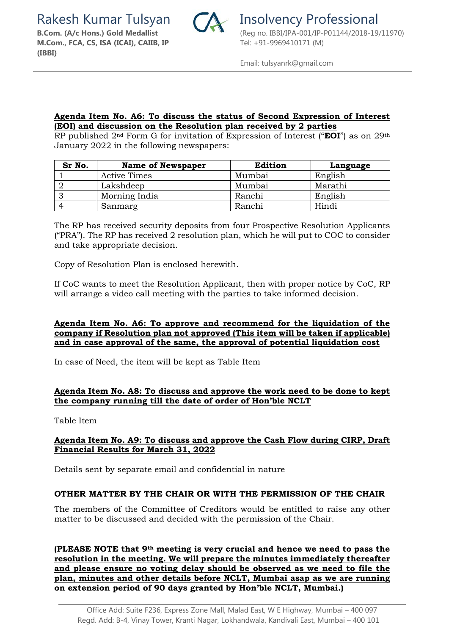Rakesh Kumar Tulsyan **Insolvency Professional** 



**M.Com., FCA, CS, ISA (ICAI), CAIIB, IP (IBBI)**

Email: tulsyanrk@gmail.com

#### **Agenda Item No. A6: To discuss the status of Second Expression of Interest (EOI) and discussion on the Resolution plan received by 2 parties**

RP published 2nd Form G for invitation of Expression of Interest ("**EOI**") as on 29th January 2022 in the following newspapers:

| Sr No. | <b>Name of Newspaper</b> | <b>Edition</b> | Language |
|--------|--------------------------|----------------|----------|
|        | Active Times             | Mumbai         | English  |
|        | Lakshdeep                | Mumbai         | Marathi  |
|        | Morning India            | Ranchi         | English  |
|        | Sanmarg                  | Ranchi         | Hindi    |

The RP has received security deposits from four Prospective Resolution Applicants ("PRA"). The RP has received 2 resolution plan, which he will put to COC to consider and take appropriate decision.

Copy of Resolution Plan is enclosed herewith.

If CoC wants to meet the Resolution Applicant, then with proper notice by CoC, RP will arrange a video call meeting with the parties to take informed decision.

#### **Agenda Item No. A6: To approve and recommend for the liquidation of the company if Resolution plan not approved (This item will be taken if applicable) and in case approval of the same, the approval of potential liquidation cost**

In case of Need, the item will be kept as Table Item

#### **Agenda Item No. A8: To discuss and approve the work need to be done to kept the company running till the date of order of Hon'ble NCLT**

Table Item

#### **Agenda Item No. A9: To discuss and approve the Cash Flow during CIRP, Draft Financial Results for March 31, 2022**

Details sent by separate email and confidential in nature

#### **OTHER MATTER BY THE CHAIR OR WITH THE PERMISSION OF THE CHAIR**

The members of the Committee of Creditors would be entitled to raise any other matter to be discussed and decided with the permission of the Chair.

**(PLEASE NOTE that 9th meeting is very crucial and hence we need to pass the resolution in the meeting. We will prepare the minutes immediately thereafter and please ensure no voting delay should be observed as we need to file the plan, minutes and other details before NCLT, Mumbai asap as we are running on extension period of 90 days granted by Hon'ble NCLT, Mumbai.)**